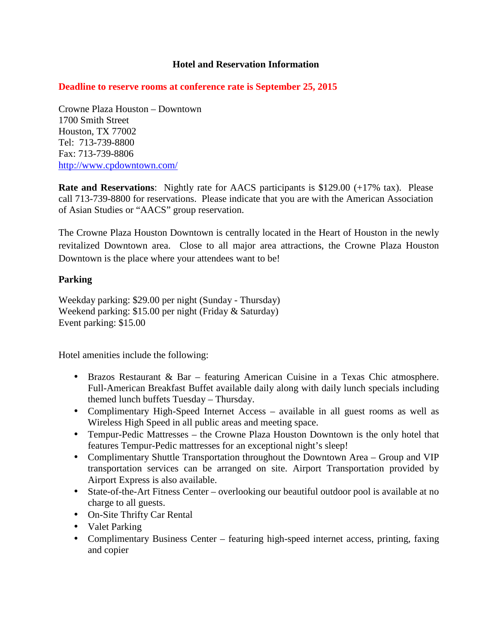### **Hotel and Reservation Information**

### **Deadline to reserve rooms at conference rate is September 25, 2015**

Crowne Plaza Houston – Downtown 1700 Smith Street Houston, TX 77002 Tel: 713-739-8800 Fax: 713-739-8806 http://www.cpdowntown.com/

**Rate and Reservations:** Nightly rate for AACS participants is \$129.00 (+17% tax). Please call 713-739-8800 for reservations. Please indicate that you are with the American Association of Asian Studies or "AACS" group reservation.

The Crowne Plaza Houston Downtown is centrally located in the Heart of Houston in the newly revitalized Downtown area. Close to all major area attractions, the Crowne Plaza Houston Downtown is the place where your attendees want to be!

#### **Parking**

Weekday parking: \$29.00 per night (Sunday - Thursday) Weekend parking: \$15.00 per night (Friday & Saturday) Event parking: \$15.00

Hotel amenities include the following:

- Brazos Restaurant & Bar featuring American Cuisine in a Texas Chic atmosphere. Full-American Breakfast Buffet available daily along with daily lunch specials including themed lunch buffets Tuesday – Thursday.
- Complimentary High-Speed Internet Access available in all guest rooms as well as Wireless High Speed in all public areas and meeting space.
- Tempur-Pedic Mattresses the Crowne Plaza Houston Downtown is the only hotel that features Tempur-Pedic mattresses for an exceptional night's sleep!
- Complimentary Shuttle Transportation throughout the Downtown Area Group and VIP transportation services can be arranged on site. Airport Transportation provided by Airport Express is also available.
- State-of-the-Art Fitness Center overlooking our beautiful outdoor pool is available at no charge to all guests.
- On-Site Thrifty Car Rental
- Valet Parking
- Complimentary Business Center featuring high-speed internet access, printing, faxing and copier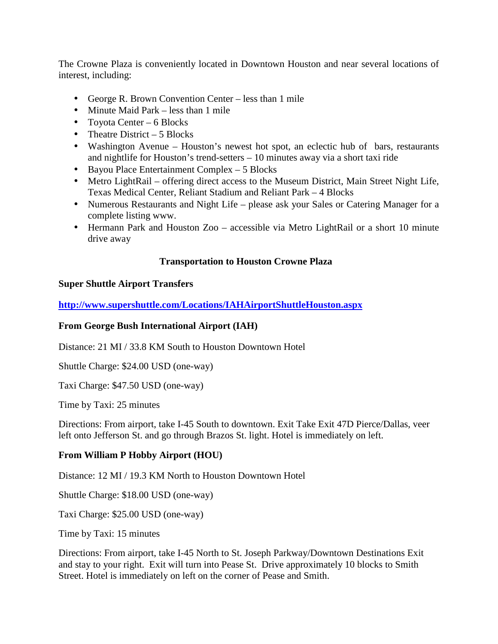The Crowne Plaza is conveniently located in Downtown Houston and near several locations of interest, including:

- George R. Brown Convention Center less than 1 mile
- Minute Maid Park less than 1 mile
- Toyota Center 6 Blocks
- Theatre District 5 Blocks
- Washington Avenue Houston's newest hot spot, an eclectic hub of bars, restaurants and nightlife for Houston's trend-setters – 10 minutes away via a short taxi ride
- Bayou Place Entertainment Complex 5 Blocks
- Metro LightRail offering direct access to the Museum District, Main Street Night Life, Texas Medical Center, Reliant Stadium and Reliant Park – 4 Blocks
- Numerous Restaurants and Night Life please ask your Sales or Catering Manager for a complete listing www.
- Hermann Park and Houston Zoo accessible via Metro LightRail or a short 10 minute drive away

## **Transportation to Houston Crowne Plaza**

#### **Super Shuttle Airport Transfers**

**http://www.supershuttle.com/Locations/IAHAirportShuttleHouston.aspx** 

#### **From George Bush International Airport (IAH)**

Distance: 21 MI / 33.8 KM South to Houston Downtown Hotel

Shuttle Charge: \$24.00 USD (one-way)

Taxi Charge: \$47.50 USD (one-way)

Time by Taxi: 25 minutes

Directions: From airport, take I-45 South to downtown. Exit Take Exit 47D Pierce/Dallas, veer left onto Jefferson St. and go through Brazos St. light. Hotel is immediately on left.

#### **From William P Hobby Airport (HOU)**

Distance: 12 MI / 19.3 KM North to Houston Downtown Hotel

Shuttle Charge: \$18.00 USD (one-way)

Taxi Charge: \$25.00 USD (one-way)

Time by Taxi: 15 minutes

Directions: From airport, take I-45 North to St. Joseph Parkway/Downtown Destinations Exit and stay to your right. Exit will turn into Pease St. Drive approximately 10 blocks to Smith Street. Hotel is immediately on left on the corner of Pease and Smith.